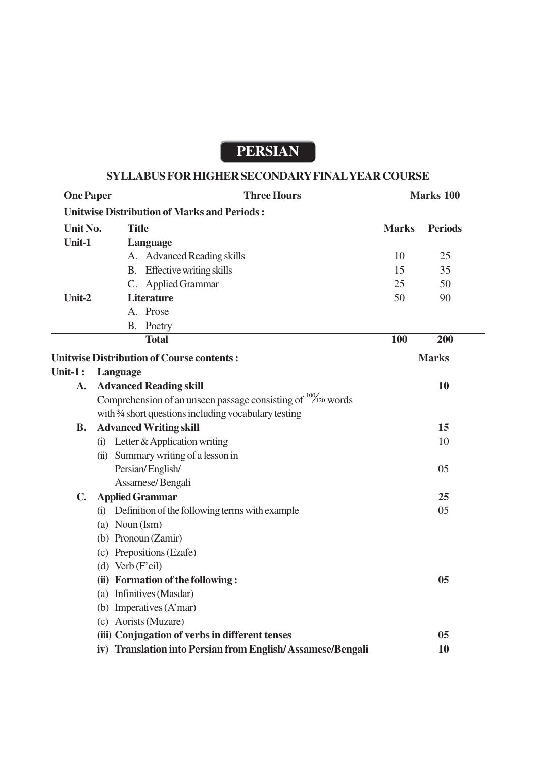# **PERSIAN**

## **SYLLABUS FOR HIGHER SECONDARY FINAL YEAR COURSE**

| <b>One Paper</b>                                 | <b>Three Hours</b>                                                      | Marks 100    |                |
|--------------------------------------------------|-------------------------------------------------------------------------|--------------|----------------|
|                                                  | <b>Unitwise Distribution of Marks and Periods:</b>                      |              |                |
| Unit No.                                         | <b>Title</b>                                                            | <b>Marks</b> | <b>Periods</b> |
| Unit-1                                           | Language                                                                |              |                |
|                                                  | A. Advanced Reading skills                                              | 10           | 25             |
|                                                  | B. Effective writing skills                                             | 15           | 35             |
|                                                  | C. Applied Grammar                                                      | 25           | 50             |
| Unit-2                                           | <b>Literature</b>                                                       | 50           | 90             |
|                                                  | A. Prose                                                                |              |                |
|                                                  | B. Poetry                                                               |              |                |
|                                                  | <b>Total</b>                                                            | 100          | 200            |
| <b>Unitwise Distribution of Course contents:</b> |                                                                         |              | <b>Marks</b>   |
| Unit- $1:$                                       | Language                                                                |              |                |
| A.                                               | <b>Advanced Reading skill</b>                                           |              | 10             |
|                                                  | Comprehension of an unseen passage consisting of $\frac{100}{20}$ words |              |                |
|                                                  | with 3/4 short questions including vocabulary testing                   |              |                |
| <b>B.</b>                                        | <b>Advanced Writing skill</b>                                           |              | 15             |
|                                                  | (i) Letter & Application writing                                        |              | 10             |
|                                                  | (ii) Summary writing of a lesson in                                     |              |                |
|                                                  | Persian/English/                                                        |              | 05             |
|                                                  | Assamese/Bengali                                                        |              |                |
| $\mathbf{C}$ .                                   | <b>Applied Grammar</b>                                                  |              | 25             |
|                                                  | (i) Definition of the following terms with example                      |              | 05             |
|                                                  | (a) Noun $(Ism)$                                                        |              |                |
|                                                  | (b) Pronoun (Zamir)                                                     |              |                |
|                                                  | (c) Prepositions (Ezafe)                                                |              |                |
|                                                  | (d) Verb $(F'$ eil)                                                     |              |                |
|                                                  | (ii) Formation of the following:                                        |              | 05             |
|                                                  | (a) Infinitives (Masdar)                                                |              |                |
|                                                  | (b) Imperatives $(A'mar)$                                               |              |                |
|                                                  | (c) Aorists (Muzare)                                                    |              |                |
|                                                  | (iii) Conjugation of verbs in different tenses                          |              | 05             |
|                                                  | iv) Translation into Persian from English/Assamese/Bengali              |              | 10             |